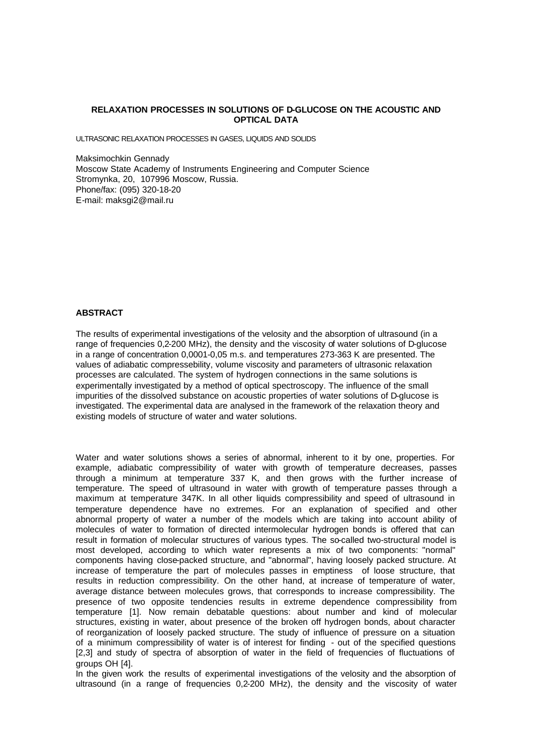## **RELAXATION PROCESSES IN SOLUTIONS OF D-GLUCOSE ON THE ACOUSTIC AND OPTICAL DATA**

ULTRASONIC RELAXATION PROCESSES IN GASES, LIQUIDS AND SOLIDS

Maksimochkin Gennady Moscow State Academy of Instruments Engineering and Computer Science Stromynka, 20, 107996 Moscow, Russia. Phone/fax: (095) 320-18-20 E-mail: maksgi2@mail.ru

## **ABSTRACT**

The results of experimental investigations of the velosity and the absorption of ultrasound (in a range of frequencies 0,2-200 MHz), the density and the viscosity of water solutions of D-glucose in a range of concentration 0,0001-0,05 m.s. and temperatures 273-363 K are presented. The values of adiabatic compressebility, volume viscosity and parameters of ultrasonic relaxation processes are calculated. The system of hydrogen connections in the same solutions is experimentally investigated by a method of optical spectroscopy. The influence of the small impurities of the dissolved substance on acoustic properties of water solutions of D-glucose is investigated. The experimental data are analysed in the framework of the relaxation theory and existing models of structure of water and water solutions.

Water and water solutions shows a series of abnormal, inherent to it by one, properties. For example, adiabatic compressibility of water with growth of temperature decreases, passes through a minimum at temperature 337 K, and then grows with the further increase of temperature. The speed of ultrasound in water with growth of temperature passes through a maximum at temperature 347K. In all other liquids compressibility and speed of ultrasound in temperature dependence have no extremes. For an explanation of specified and other abnormal property of water a number of the models which are taking into account ability of molecules of water to formation of directed intermolecular hydrogen bonds is offered that can result in formation of molecular structures of various types. The so-called two-structural model is most developed, according to which water represents a mix of two components: "normal" components having close-packed structure, and "abnormal", having loosely packed structure. At increase of temperature the part of molecules passes in emptiness of loose structure, that results in reduction compressibility. On the other hand, at increase of temperature of water, average distance between molecules grows, that corresponds to increase compressibility. The presence of two opposite tendencies results in extreme dependence compressibility from temperature [1]. Now remain debatable questions: about number and kind of molecular structures, existing in water, about presence of the broken off hydrogen bonds, about character of reorganization of loosely packed structure. The study of influence of pressure on a situation of a minimum compressibility of water is of interest for finding - out of the specified questions [2,3] and study of spectra of absorption of water in the field of frequencies of fluctuations of groups OH [4].

In the given work the results of experimental investigations of the velosity and the absorption of ultrasound (in a range of frequencies 0,2-200 MHz), the density and the viscosity of water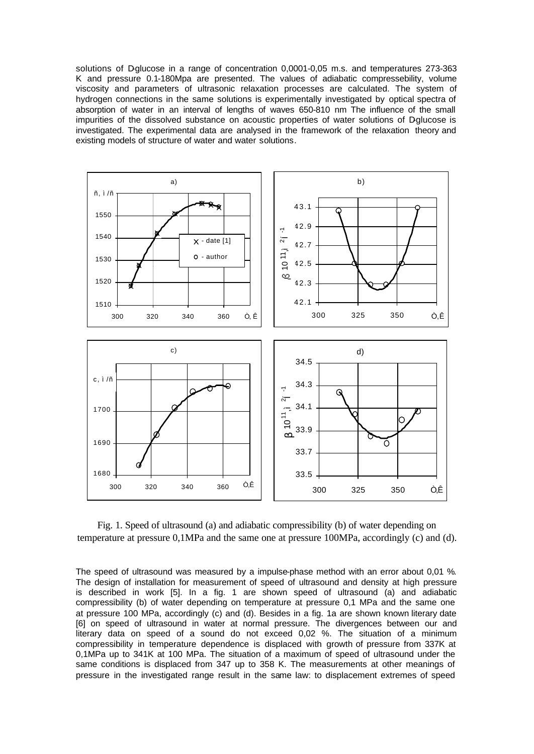solutions of D-glucose in a range of concentration 0,0001-0,05 m.s. and temperatures 273-363 K and pressure 0.1-180Mpa are presented. The values of adiabatic compressebility, volume viscosity and parameters of ultrasonic relaxation processes are calculated. The system of hydrogen connections in the same solutions is experimentally investigated by optical spectra of absorption of water in an interval of lengths of waves 650-810 nm The influence of the small impurities of the dissolved substance on acoustic properties of water solutions of Dglucose is investigated. The experimental data are analysed in the framework of the relaxation theory and existing models of structure of water and water solutions.



Fig. 1. Speed of ultrasound (a) and adiabatic compressibility (b) of water depending on temperature at pressure 0,1MPa and the same one at pressure 100MPa, accordingly (c) and (d).

The speed of ultrasound was measured by a impulse-phase method with an error about 0,01 %. The design of installation for measurement of speed of ultrasound and density at high pressure is described in work [5]. In a fig. 1 are shown speed of ultrasound (a) and adiabatic compressibility (b) of water depending on temperature at pressure 0,1 MPa and the same one at pressure 100 MPa, accordingly (c) and (d). Besides in a fig. 1a are shown known literary date [6] on speed of ultrasound in water at normal pressure. The divergences between our and literary data on speed of a sound do not exceed 0,02 %. The situation of a minimum compressibility in temperature dependence is displaced with growth of pressure from 337K at 0,1MPa up to 341K at 100 MPa. The situation of a maximum of speed of ultrasound under the same conditions is displaced from 347 up to 358 K. The measurements at other meanings of pressure in the investigated range result in the same law: to displacement extremes of speed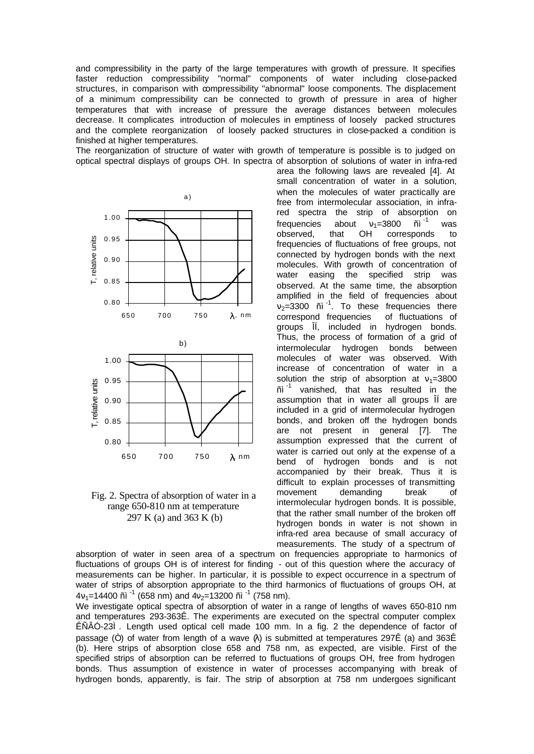and compressibility in the party of the large temperatures with growth of pressure. It specifies faster reduction compressibility "normal" components of water including close-packed structures, in comparison with compressibility "abnormal" loose components. The displacement of a minimum compressibility can be connected to growth of pressure in area of higher temperatures that with increase of pressure the average distances between molecules decrease. It complicates introduction of molecules in emptiness of loosely packed structures and the complete reorganization of loosely packed structures in close-packed a condition is finished at higher temperatures.

The reorganization of structure of water with growth of temperature is possible is to judged on optical spectral displays of groups OH. In spectra of absorption of solutions of water in infra-red





Fig. 2. Spectra of absorption of water in a range 650-810 nm at temperature 297 K (a) and 363 K (b)

area the following laws are revealed [4]. At small concentration of water in a solution, when the molecules of water practically are free from intermolecular association, in infrared spectra the strip of absorption on frequencies about  $v_1$ =3800 ñ<sup> $-1$ </sup> observed. that OH correspond was corresponds to frequencies of fluctuations of free groups, not connected by hydrogen bonds with the next molecules. With growth of concentration of water easing the specified strip was observed. At the same time, the absorption amplified in the field of frequencies about  $v_2$ =3300  $\tilde{n}$ <sup>-1</sup>. To these frequencies there correspond frequencies of fluctuations of groups ÎÍ, included in hydrogen bonds. Thus, the process of formation of a grid of intermolecular hydrogen bonds between molecules of water was observed. With increase of concentration of water in a solution the strip of absorption at  $v_1$ =3800 ñì $^{-1}$  vanished, that has resulted in the assumption that in water all groups ÎÍ are included in a grid of intermolecular hydrogen bonds, and broken off the hydrogen bonds are not present in general [7]. The assumption expressed that the current of water is carried out only at the expense of a bend of hydrogen bonds and is not accompanied by their break. Thus it is difficult to explain processes of transmitting movement demanding break of intermolecular hydrogen bonds. It is possible, that the rather small number of the broken off hydrogen bonds in water is not shown in infra-red area because of small accuracy of measurements. The study of a spectrum of

absorption of water in seen area of a spectrum on frequencies appropriate to harmonics of fluctuations of groups OH is of interest for finding - out of this question where the accuracy of measurements can be higher. In particular, it is possible to expect occurrence in a spectrum of water of strips of absorption appropriate to the third harmonics of fluctuations of groups OH, at  $4v_1$ =14400 ñì<sup>-1</sup> (658 nm) and  $4v_2$ =13200 ñì<sup>-1</sup> (758 nm).

We investigate optical spectra of absorption of water in a range of lengths of waves 650-810 nm and temperatures 293-363Ê. The experiments are executed on the spectral computer complex ÊÑÂÓ-23Ì. Length used optical cell made 100 mm. In a fig. 2 the dependence of factor of passage ( $\dot{O}$ ) of water from length of a wave  $\alpha$ ) is submitted at temperatures 297Ê (a) and 363Ê (b). Here strips of absorption close 658 and 758 nm, as expected, are visible. First of the specified strips of absorption can be referred to fluctuations of groups OH, free from hydrogen bonds. Thus assumption of existence in water of processes accompanying with break of hydrogen bonds, apparently, is fair. The strip of absorption at 758 nm undergoes significant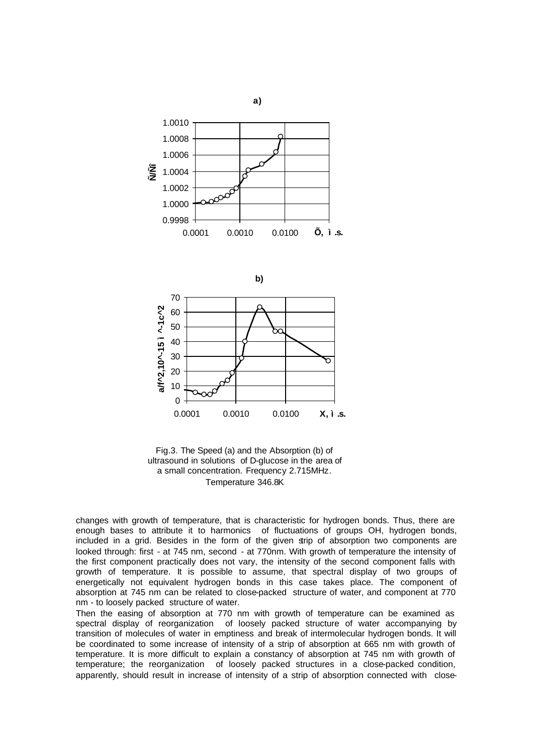

Fig.3. The Speed (a) and the Absorption (b) of ultrasound in solutions of D-glucose in the area of a small concentration. Frequency 2.715MHz. Temperature 346.8K

changes with growth of temperature, that is characteristic for hydrogen bonds. Thus, there are enough bases to attribute it to harmonics of fluctuations of groups OH, hydrogen bonds, included in a grid. Besides in the form of the given strip of absorption two components are looked through: first - at 745 nm, second - at 770nm. With growth of temperature the intensity of the first component practically does not vary, the intensity of the second component falls with growth of temperature. It is possible to assume, that spectral display of two groups of energetically not equivalent hydrogen bonds in this case takes place. The component of absorption at 745 nm can be related to close-packed structure of water, and component at 770 nm - to loosely packed structure of water.

Then the easing of absorption at 770 nm with growth of temperature can be examined as spectral display of reorganization of loosely packed structure of water accompanying by transition of molecules of water in emptiness and break of intermolecular hydrogen bonds. It will be coordinated to some increase of intensity of a strip of absorption at 665 nm with growth of temperature. It is more difficult to explain a constancy of absorption at 745 nm with growth of temperature; the reorganization of loosely packed structures in a close-packed condition, apparently, should result in increase of intensity of a strip of absorption connected with close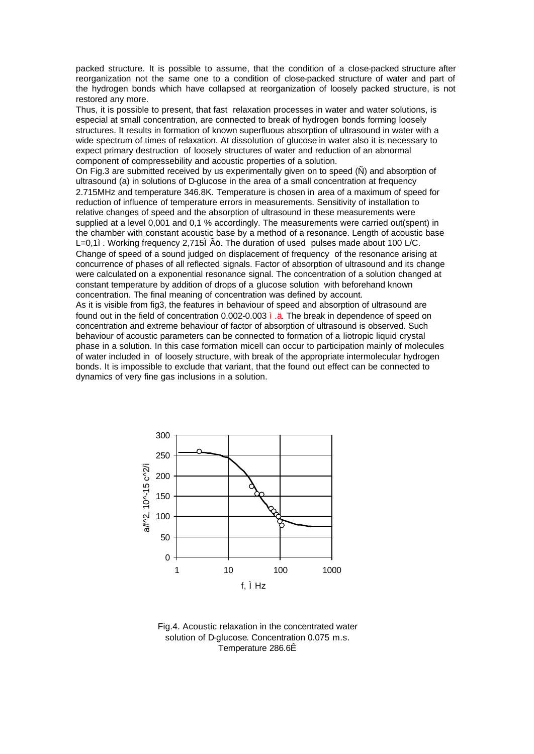packed structure. It is possible to assume, that the condition of a close-packed structure after reorganization not the same one to a condition of close-packed structure of water and part of the hydrogen bonds which have collapsed at reorganization of loosely packed structure, is not restored any more.

Thus, it is possible to present, that fast relaxation processes in water and water solutions, is especial at small concentration, are connected to break of hydrogen bonds forming loosely structures. It results in formation of known superfluous absorption of ultrasound in water with a wide spectrum of times of relaxation. At dissolution of glucose in water also it is necessary to expect primary destruction of loosely structures of water and reduction of an abnormal component of compressebility and acoustic properties of a solution.

On Fig.3 are submitted received by us experimentally given on to speed (Ñ) and absorption of ultrasound (a) in solutions of D-glucose in the area of a small concentration at frequency 2.715MHz and temperature 346.8K. Temperature is chosen in area of a maximum of speed for reduction of influence of temperature errors in measurements. Sensitivity of installation to relative changes of speed and the absorption of ultrasound in these measurements were supplied at a level 0,001 and 0,1 % accordingly. The measurements were carried out(spent) in the chamber with constant acoustic base by a method of a resonance. Length of acoustic base L=0,1 $i$ . Working frequency 2,715 $\tilde{A}$ ö. The duration of used pulses made about 100 L/C. Change of speed of a sound judged on displacement of frequency of the resonance arising at concurrence of phases of all reflected signals. Factor of absorption of ultrasound and its change were calculated on a exponential resonance signal. The concentration of a solution changed at constant temperature by addition of drops of a glucose solution with beforehand known concentration. The final meaning of concentration was defined by account.

As it is visible from fig3, the features in behaviour of speed and absorption of ultrasound are found out in the field of concentration 0.002-0.003 ì.ä. The break in dependence of speed on concentration and extreme behaviour of factor of absorption of ultrasound is observed. Such behaviour of acoustic parameters can be connected to formation of a liotropic liquid crystal phase in a solution. In this case formation micell can occur to participation mainly of molecules of water included in of loosely structure, with break of the appropriate intermolecular hydrogen bonds. It is impossible to exclude that variant, that the found out effect can be connected to dynamics of very fine gas inclusions in a solution.



Fig.4. Acoustic relaxation in the concentrated water solution of D-glucose. Concentration 0.075 m.s. Temperature 286.6Ê